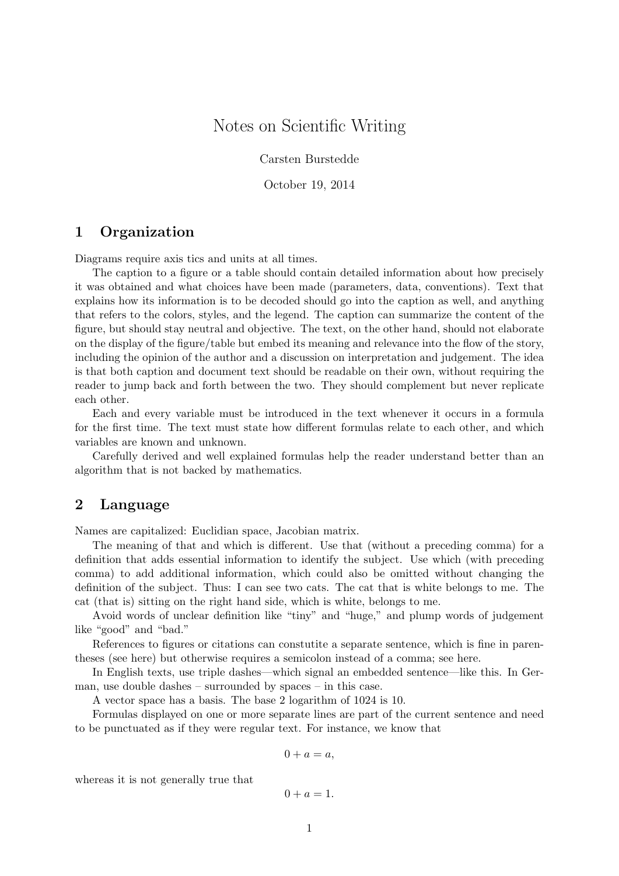# Notes on Scientific Writing

Carsten Burstedde

October 19, 2014

### 1 Organization

Diagrams require axis tics and units at all times.

The caption to a figure or a table should contain detailed information about how precisely it was obtained and what choices have been made (parameters, data, conventions). Text that explains how its information is to be decoded should go into the caption as well, and anything that refers to the colors, styles, and the legend. The caption can summarize the content of the figure, but should stay neutral and objective. The text, on the other hand, should not elaborate on the display of the figure/table but embed its meaning and relevance into the flow of the story, including the opinion of the author and a discussion on interpretation and judgement. The idea is that both caption and document text should be readable on their own, without requiring the reader to jump back and forth between the two. They should complement but never replicate each other.

Each and every variable must be introduced in the text whenever it occurs in a formula for the first time. The text must state how different formulas relate to each other, and which variables are known and unknown.

Carefully derived and well explained formulas help the reader understand better than an algorithm that is not backed by mathematics.

### 2 Language

Names are capitalized: Euclidian space, Jacobian matrix.

The meaning of that and which is different. Use that (without a preceding comma) for a definition that adds essential information to identify the subject. Use which (with preceding comma) to add additional information, which could also be omitted without changing the definition of the subject. Thus: I can see two cats. The cat that is white belongs to me. The cat (that is) sitting on the right hand side, which is white, belongs to me.

Avoid words of unclear definition like "tiny" and "huge," and plump words of judgement like "good" and "bad."

References to figures or citations can constutite a separate sentence, which is fine in parentheses (see here) but otherwise requires a semicolon instead of a comma; see here.

In English texts, use triple dashes—which signal an embedded sentence—like this. In German, use double dashes – surrounded by spaces – in this case.

A vector space has a basis. The base 2 logarithm of 1024 is 10.

Formulas displayed on one or more separate lines are part of the current sentence and need to be punctuated as if they were regular text. For instance, we know that

$$
0 + a = a,
$$

whereas it is not generally true that

$$
0 + a = 1.
$$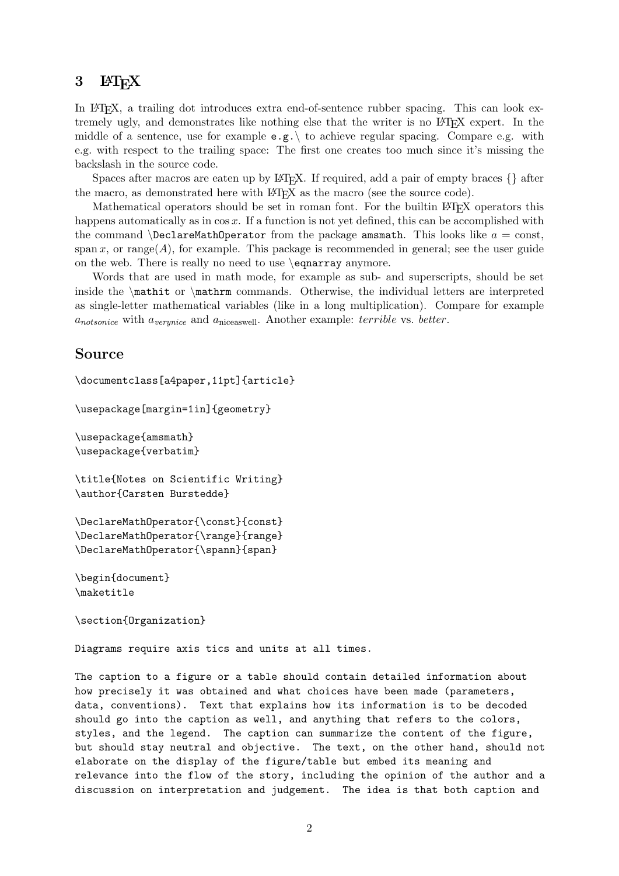## 3  $\text{LFT}_{\text{F}}X$

In LATEX, a trailing dot introduces extra end-of-sentence rubber spacing. This can look extremely ugly, and demonstrates like nothing else that the writer is no LATEX expert. In the middle of a sentence, use for example  $e.g. \setminus$  to achieve regular spacing. Compare e.g. with e.g. with respect to the trailing space: The first one creates too much since it's missing the backslash in the source code.

Spaces after macros are eaten up by LAT<sub>EX</sub>. If required, add a pair of empty braces  $\{\}$  after the macro, as demonstrated here with LATEX as the macro (see the source code).

Mathematical operators should be set in roman font. For the builtin LAT<sub>EX</sub> operators this happens automatically as in  $\cos x$ . If a function is not yet defined, this can be accomplished with the command  $\Delta$  beclareMathOperator from the package amsmath. This looks like  $a = \text{const}$ , span x, or range( $A$ ), for example. This package is recommended in general; see the user guide on the web. There is really no need to use \eqnarray anymore.

Words that are used in math mode, for example as sub- and superscripts, should be set inside the \mathit or \mathrm commands. Otherwise, the individual letters are interpreted as single-letter mathematical variables (like in a long multiplication). Compare for example  $a_{notsonice}$  with  $a_{verynice}$  and  $a_{niceaswell}$ . Another example: *terrible* vs. *better*.

#### Source

```
\documentclass[a4paper,11pt]{article}
```

```
\usepackage[margin=1in]{geometry}
```
\usepackage{amsmath} \usepackage{verbatim}

\title{Notes on Scientific Writing} \author{Carsten Burstedde}

\DeclareMathOperator{\const}{const} \DeclareMathOperator{\range}{range} \DeclareMathOperator{\spann}{span}

\begin{document} \maketitle

\section{Organization}

Diagrams require axis tics and units at all times.

The caption to a figure or a table should contain detailed information about how precisely it was obtained and what choices have been made (parameters, data, conventions). Text that explains how its information is to be decoded should go into the caption as well, and anything that refers to the colors, styles, and the legend. The caption can summarize the content of the figure, but should stay neutral and objective. The text, on the other hand, should not elaborate on the display of the figure/table but embed its meaning and relevance into the flow of the story, including the opinion of the author and a discussion on interpretation and judgement. The idea is that both caption and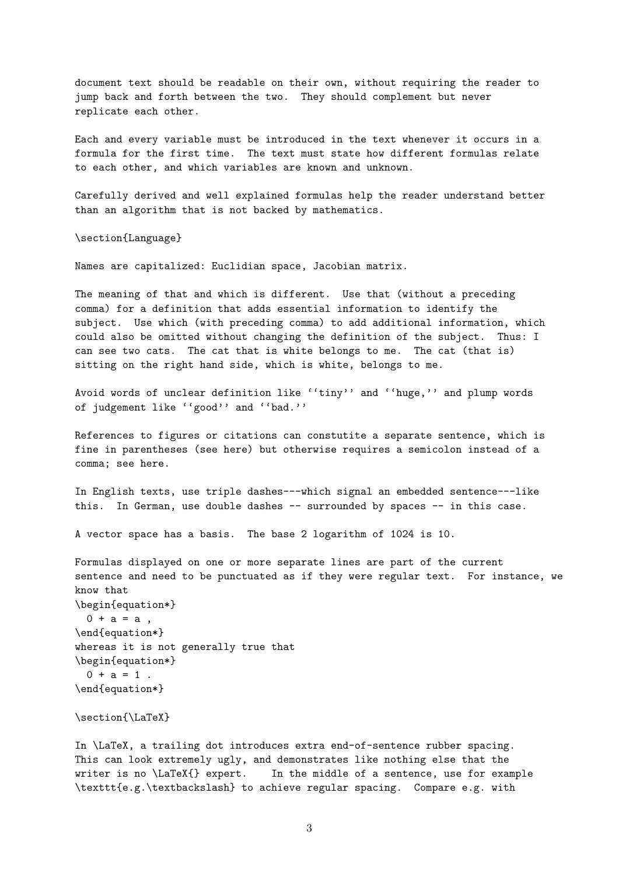document text should be readable on their own, without requiring the reader to jump back and forth between the two. They should complement but never replicate each other.

Each and every variable must be introduced in the text whenever it occurs in a formula for the first time. The text must state how different formulas relate to each other, and which variables are known and unknown.

Carefully derived and well explained formulas help the reader understand better than an algorithm that is not backed by mathematics.

\section{Language}

Names are capitalized: Euclidian space, Jacobian matrix.

The meaning of that and which is different. Use that (without a preceding comma) for a definition that adds essential information to identify the subject. Use which (with preceding comma) to add additional information, which could also be omitted without changing the definition of the subject. Thus: I can see two cats. The cat that is white belongs to me. The cat (that is) sitting on the right hand side, which is white, belongs to me.

Avoid words of unclear definition like ''tiny'' and ''huge,'' and plump words of judgement like ''good'' and ''bad.''

References to figures or citations can constutite a separate sentence, which is fine in parentheses (see here) but otherwise requires a semicolon instead of a comma; see here.

In English texts, use triple dashes---which signal an embedded sentence---like this. In German, use double dashes -- surrounded by spaces -- in this case.

A vector space has a basis. The base 2 logarithm of 1024 is 10.

Formulas displayed on one or more separate lines are part of the current sentence and need to be punctuated as if they were regular text. For instance, we know that \begin{equation\*}  $0 + a = a$ , \end{equation\*} whereas it is not generally true that \begin{equation\*}  $0 + a = 1$ . \end{equation\*}

\section{\LaTeX}

In \LaTeX, a trailing dot introduces extra end-of-sentence rubber spacing. This can look extremely ugly, and demonstrates like nothing else that the writer is no \LaTeX{} expert. In the middle of a sentence, use for example \texttt{e.g.\textbackslash} to achieve regular spacing. Compare e.g. with